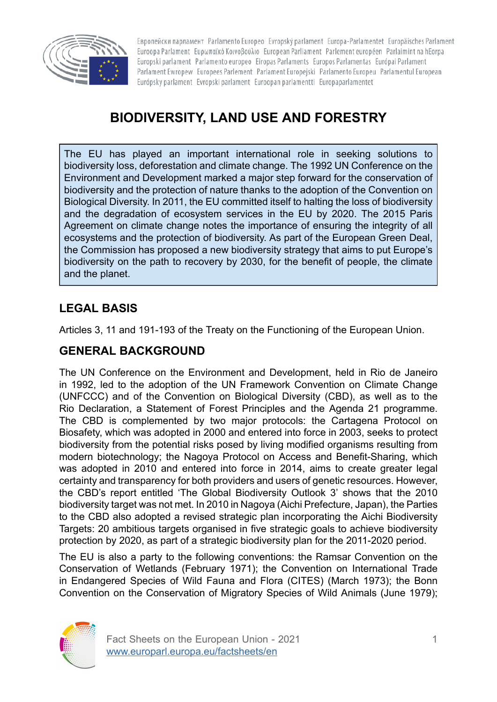

Европейски парламент Parlamento Europeo Evropský parlament Europa-Parlamentet Europäisches Parlament Euroopa Parlament Eupwπαϊκό Κοινοβούλιο European Parliament Parlement européen Parlaimint na hEorpa Europski parlament Parlamento europeo Eiropas Parlaments Europos Parlamentas Európai Parlament Parlament Ewropew Europees Parlement Parlament Europejski Parlamento Europeu Parlamentul European Európsky parlament Evropski parlament Euroopan parlamentti Europaparlamentet

# **BIODIVERSITY, LAND USE AND FORESTRY**

The EU has played an important international role in seeking solutions to biodiversity loss, deforestation and climate change. The 1992 UN Conference on the Environment and Development marked a major step forward for the conservation of biodiversity and the protection of nature thanks to the adoption of the Convention on Biological Diversity. In 2011, the EU committed itself to halting the loss of biodiversity and the degradation of ecosystem services in the EU by 2020. The 2015 Paris Agreement on climate change notes the importance of ensuring the integrity of all ecosystems and the protection of biodiversity. As part of the European Green Deal, the Commission has proposed a new biodiversity strategy that aims to put Europe's biodiversity on the path to recovery by 2030, for the benefit of people, the climate and the planet.

# **LEGAL BASIS**

Articles 3, 11 and 191-193 of the Treaty on the Functioning of the European Union.

### **GENERAL BACKGROUND**

The UN Conference on the Environment and Development, held in Rio de Janeiro in 1992, led to the adoption of the UN Framework Convention on Climate Change (UNFCCC) and of the Convention on Biological Diversity (CBD), as well as to the Rio Declaration, a Statement of Forest Principles and the Agenda 21 programme. The CBD is complemented by two major protocols: the Cartagena Protocol on Biosafety, which was adopted in 2000 and entered into force in 2003, seeks to protect biodiversity from the potential risks posed by living modified organisms resulting from modern biotechnology; the Nagoya Protocol on Access and Benefit-Sharing, which was adopted in 2010 and entered into force in 2014, aims to create greater legal certainty and transparency for both providers and users of genetic resources. However, the CBD's report entitled 'The Global Biodiversity Outlook 3' shows that the 2010 biodiversity target was not met. In 2010 in Nagoya (Aichi Prefecture, Japan), the Parties to the CBD also adopted a revised strategic plan incorporating the Aichi Biodiversity Targets: 20 ambitious targets organised in five strategic goals to achieve biodiversity protection by 2020, as part of a strategic biodiversity plan for the 2011-2020 period.

The EU is also a party to the following conventions: the Ramsar Convention on the Conservation of Wetlands (February 1971); the Convention on International Trade in Endangered Species of Wild Fauna and Flora (CITES) (March 1973); the Bonn Convention on the Conservation of Migratory Species of Wild Animals (June 1979);

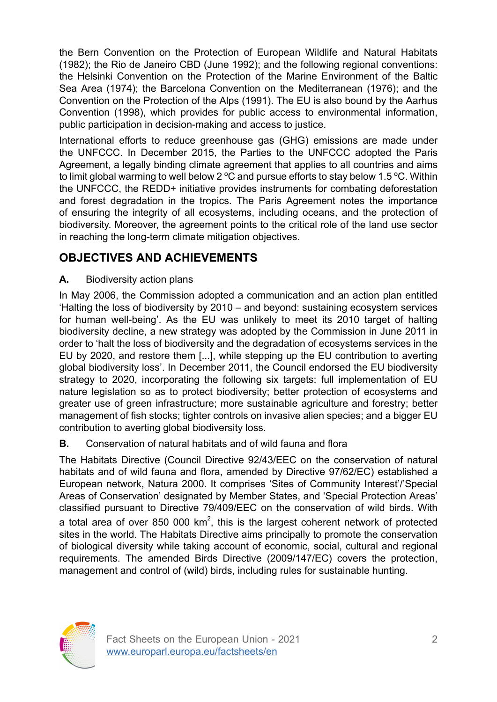the Bern Convention on the Protection of European Wildlife and Natural Habitats (1982); the Rio de Janeiro CBD (June 1992); and the following regional conventions: the Helsinki Convention on the Protection of the Marine Environment of the Baltic Sea Area (1974); the Barcelona Convention on the Mediterranean (1976); and the Convention on the Protection of the Alps (1991). The EU is also bound by the Aarhus Convention (1998), which provides for public access to environmental information, public participation in decision-making and access to justice.

International efforts to reduce greenhouse gas (GHG) emissions are made under the UNFCCC. In December 2015, the Parties to the UNFCCC adopted the Paris Agreement, a legally binding climate agreement that applies to all countries and aims to limit global warming to well below 2 ºC and pursue efforts to stay below 1.5 ºC. Within the UNFCCC, the REDD+ initiative provides instruments for combating deforestation and forest degradation in the tropics. The Paris Agreement notes the importance of ensuring the integrity of all ecosystems, including oceans, and the protection of biodiversity. Moreover, the agreement points to the critical role of the land use sector in reaching the long-term climate mitigation objectives.

# **OBJECTIVES AND ACHIEVEMENTS**

### **A.** Biodiversity action plans

In May 2006, the Commission adopted a communication and an action plan entitled 'Halting the loss of biodiversity by 2010 – and beyond: sustaining ecosystem services for human well-being'. As the EU was unlikely to meet its 2010 target of halting biodiversity decline, a new strategy was adopted by the Commission in June 2011 in order to 'halt the loss of biodiversity and the degradation of ecosystems services in the EU by 2020, and restore them [...], while stepping up the EU contribution to averting global biodiversity loss'. In December 2011, the Council endorsed the EU biodiversity strategy to 2020, incorporating the following six targets: full implementation of EU nature legislation so as to protect biodiversity; better protection of ecosystems and greater use of green infrastructure; more sustainable agriculture and forestry; better management of fish stocks; tighter controls on invasive alien species; and a bigger EU contribution to averting global biodiversity loss.

#### **B.** Conservation of natural habitats and of wild fauna and flora

The Habitats Directive (Council Directive 92/43/EEC on the conservation of natural habitats and of wild fauna and flora, amended by Directive 97/62/EC) established a European network, Natura 2000. It comprises 'Sites of Community Interest'/'Special Areas of Conservation' designated by Member States, and 'Special Protection Areas' classified pursuant to Directive 79/409/EEC on the conservation of wild birds. With a total area of over 850 000  $km^2$ , this is the largest coherent network of protected sites in the world. The Habitats Directive aims principally to promote the conservation of biological diversity while taking account of economic, social, cultural and regional requirements. The amended Birds Directive (2009/147/EC) covers the protection, management and control of (wild) birds, including rules for sustainable hunting.

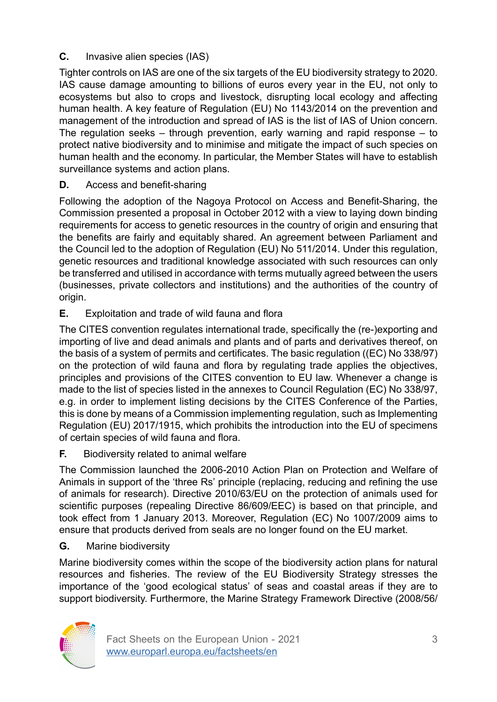### **C.** Invasive alien species (IAS)

Tighter controls on IAS are one of the six targets of the EU biodiversity strategy to 2020. IAS cause damage amounting to billions of euros every year in the EU, not only to ecosystems but also to crops and livestock, disrupting local ecology and affecting human health. A key feature of Regulation (EU) No 1143/2014 on the prevention and management of the introduction and spread of IAS is the list of IAS of Union concern. The regulation seeks – through prevention, early warning and rapid response – to protect native biodiversity and to minimise and mitigate the impact of such species on human health and the economy. In particular, the Member States will have to establish surveillance systems and action plans.

**D.** Access and benefit-sharing

Following the adoption of the Nagoya Protocol on Access and Benefit-Sharing, the Commission presented a proposal in October 2012 with a view to laying down binding requirements for access to genetic resources in the country of origin and ensuring that the benefits are fairly and equitably shared. An agreement between Parliament and the Council led to the adoption of Regulation (EU) No 511/2014. Under this regulation, genetic resources and traditional knowledge associated with such resources can only be transferred and utilised in accordance with terms mutually agreed between the users (businesses, private collectors and institutions) and the authorities of the country of origin.

**E.** Exploitation and trade of wild fauna and flora

The CITES convention regulates international trade, specifically the (re-)exporting and importing of live and dead animals and plants and of parts and derivatives thereof, on the basis of a system of permits and certificates. The basic regulation ((EC) No 338/97) on the protection of wild fauna and flora by regulating trade applies the objectives, principles and provisions of the CITES convention to EU law. Whenever a change is made to the list of species listed in the annexes to Council Regulation (EC) No 338/97, e.g. in order to implement listing decisions by the CITES Conference of the Parties, this is done by means of a Commission implementing regulation, such as Implementing Regulation (EU) 2017/1915, which prohibits the introduction into the EU of specimens of certain species of wild fauna and flora.

**F.** Biodiversity related to animal welfare

The Commission launched the 2006-2010 Action Plan on Protection and Welfare of Animals in support of the 'three Rs' principle (replacing, reducing and refining the use of animals for research). Directive 2010/63/EU on the protection of animals used for scientific purposes (repealing Directive 86/609/EEC) is based on that principle, and took effect from 1 January 2013. Moreover, Regulation (EC) No 1007/2009 aims to ensure that products derived from seals are no longer found on the EU market.

**G.** Marine biodiversity

Marine biodiversity comes within the scope of the biodiversity action plans for natural resources and fisheries. The review of the EU Biodiversity Strategy stresses the importance of the 'good ecological status' of seas and coastal areas if they are to support biodiversity. Furthermore, the Marine Strategy Framework Directive (2008/56/

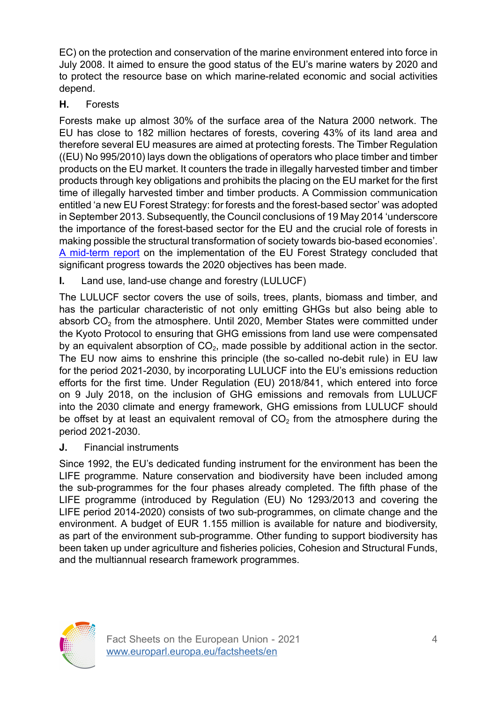EC) on the protection and conservation of the marine environment entered into force in July 2008. It aimed to ensure the good status of the EU's marine waters by 2020 and to protect the resource base on which marine-related economic and social activities depend.

#### **H.** Forests

Forests make up almost 30% of the surface area of the Natura 2000 network. The EU has close to 182 million hectares of forests, covering 43% of its land area and therefore several EU measures are aimed at protecting forests. The Timber Regulation ((EU) No 995/2010) lays down the obligations of operators who place timber and timber products on the EU market. It counters the trade in illegally harvested timber and timber products through key obligations and prohibits the placing on the EU market for the first time of illegally harvested timber and timber products. A Commission communication entitled 'a new EU Forest Strategy: for forests and the forest-based sector' was adopted in September 2013. Subsequently, the Council conclusions of 19 May 2014 'underscore the importance of the forest-based sector for the EU and the crucial role of forests in making possible the structural transformation of society towards bio-based economies'. [A mid-term report](https://eur-lex.europa.eu/legal-content/EN/TXT/PDF/?uri=CELEX:52018DC0811&from=EN) on the implementation of the EU Forest Strategy concluded that significant progress towards the 2020 objectives has been made.

**I.** Land use, land-use change and forestry (LULUCF)

The LULUCF sector covers the use of soils, trees, plants, biomass and timber, and has the particular characteristic of not only emitting GHGs but also being able to absorb  $CO<sub>2</sub>$  from the atmosphere. Until 2020, Member States were committed under the Kyoto Protocol to ensuring that GHG emissions from land use were compensated by an equivalent absorption of  $CO<sub>2</sub>$ , made possible by additional action in the sector. The EU now aims to enshrine this principle (the so-called no-debit rule) in EU law for the period 2021-2030, by incorporating LULUCF into the EU's emissions reduction efforts for the first time. Under Regulation (EU) 2018/841, which entered into force on 9 July 2018, on the inclusion of GHG emissions and removals from LULUCF into the 2030 climate and energy framework, GHG emissions from LULUCF should be offset by at least an equivalent removal of  $CO<sub>2</sub>$  from the atmosphere during the period 2021-2030.

**J.** Financial instruments

Since 1992, the EU's dedicated funding instrument for the environment has been the LIFE programme. Nature conservation and biodiversity have been included among the sub-programmes for the four phases already completed. The fifth phase of the LIFE programme (introduced by Regulation (EU) No 1293/2013 and covering the LIFE period 2014-2020) consists of two sub-programmes, on climate change and the environment. A budget of EUR 1.155 million is available for nature and biodiversity, as part of the environment sub-programme. Other funding to support biodiversity has been taken up under agriculture and fisheries policies, Cohesion and Structural Funds, and the multiannual research framework programmes.

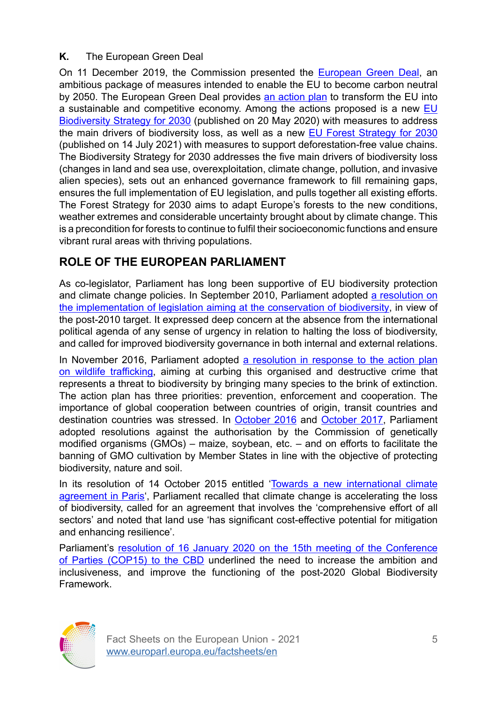#### **K.** The European Green Deal

On 11 December 2019, the Commission presented the **[European Green Deal](https://eur-lex.europa.eu/resource.html?uri=cellar:b828d165-1c22-11ea-8c1f-01aa75ed71a1.0002.02/DOC_1&format=PDF)**, an ambitious package of measures intended to enable the EU to become carbon neutral by 2050. The European Green Deal provides [an action plan](https://eur-lex.europa.eu/legal-content/EN/TXT/?qid=1596443911913&uri=CELEX:52019DC0640#document2) to transform the EU into a sustainable and competitive economy. Among the actions proposed is a new [EU](https://eur-lex.europa.eu/legal-content/EN/TXT/PDF/?uri=CELEX:52020DC0380&from=EN) [Biodiversity Strategy for 2030](https://eur-lex.europa.eu/legal-content/EN/TXT/PDF/?uri=CELEX:52020DC0380&from=EN) (published on 20 May 2020) with measures to address the main drivers of biodiversity loss, as well as a new [EU Forest Strategy for 2030](https://eur-lex.europa.eu/legal-content/EN/TXT/?uri=CELEX:52021DC0572) (published on 14 July 2021) with measures to support deforestation-free value chains. The Biodiversity Strategy for 2030 addresses the five main drivers of biodiversity loss (changes in land and sea use, overexploitation, climate change, pollution, and invasive alien species), sets out an enhanced governance framework to fill remaining gaps, ensures the full implementation of EU legislation, and pulls together all existing efforts. The Forest Strategy for 2030 aims to adapt Europe's forests to the new conditions, weather extremes and considerable uncertainty brought about by climate change. This is a precondition for forests to continue to fulfil their socioeconomic functions and ensure vibrant rural areas with thriving populations.

### **ROLE OF THE EUROPEAN PARLIAMENT**

As co-legislator, Parliament has long been supportive of EU biodiversity protection and climate change policies. In September 2010, Parliament adopted [a resolution on](https://eur-lex.europa.eu/legal-content/EN/TXT/?uri=celex:52010IP0325) [the implementation of legislation aiming at the conservation of biodiversity](https://eur-lex.europa.eu/legal-content/EN/TXT/?uri=celex:52010IP0325), in view of the post-2010 target. It expressed deep concern at the absence from the international political agenda of any sense of urgency in relation to halting the loss of biodiversity, and called for improved biodiversity governance in both internal and external relations.

In November 2016, Parliament adopted [a resolution in response to the action plan](https://eur-lex.europa.eu/legal-content/EN/TXT/?uri=celex:52016IP0454) on wildlife [trafficking](https://eur-lex.europa.eu/legal-content/EN/TXT/?uri=celex:52016IP0454), aiming at curbing this organised and destructive crime that represents a threat to biodiversity by bringing many species to the brink of extinction. The action plan has three priorities: prevention, enforcement and cooperation. The importance of global cooperation between countries of origin, transit countries and destination countries was stressed. In [October 2016](https://eur-lex.europa.eu/legal-content/EN/TXT/?uri=celex:52016IP0388) and [October 2017](https://eur-lex.europa.eu/legal-content/EN/TXT/?uri=celex:52017IP0397), Parliament adopted resolutions against the authorisation by the Commission of genetically modified organisms (GMOs) – maize, soybean, etc. – and on efforts to facilitate the banning of GMO cultivation by Member States in line with the objective of protecting biodiversity, nature and soil.

In its resolution of 14 October 2015 entitled 'Towards a new [international](https://eur-lex.europa.eu/legal-content/EN/TXT/?uri=celex:52015IP0359) climate [agreement in Paris](https://eur-lex.europa.eu/legal-content/EN/TXT/?uri=celex:52015IP0359)', Parliament recalled that climate change is accelerating the loss of biodiversity, called for an agreement that involves the 'comprehensive effort of all sectors' and noted that land use 'has significant cost-effective potential for mitigation and enhancing resilience'.

Parliament's [resolution of 16 January 2020 on the 15th meeting of the Conference](https://eur-lex.europa.eu/legal-content/EN/TXT/?uri=celex:52020IP0015) [of Parties \(COP15\) to the CBD](https://eur-lex.europa.eu/legal-content/EN/TXT/?uri=celex:52020IP0015) underlined the need to increase the ambition and inclusiveness, and improve the functioning of the post-2020 Global Biodiversity Framework.